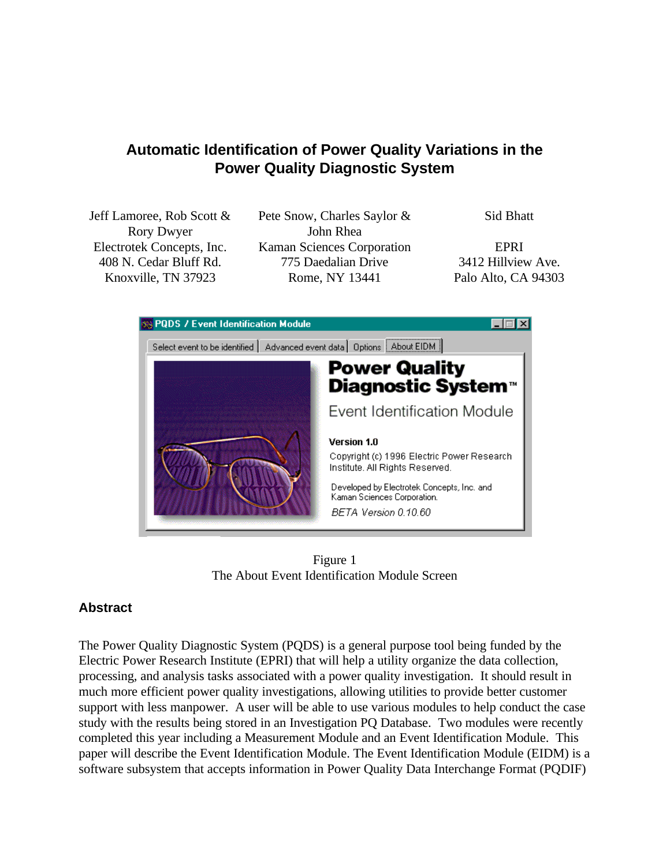# **Automatic Identification of Power Quality Variations in the Power Quality Diagnostic System**

Jeff Lamoree, Rob Scott & Rory Dwyer

Pete Snow, Charles Saylor & John Rhea Electrotek Concepts, Inc. Kaman Sciences Corporation EPRI 408 N. Cedar Bluff Rd. 775 Daedalian Drive 3412 Hillview Ave. Knoxville, TN 37923 Rome, NY 13441 Palo Alto, CA 94303

Sid Bhatt



Figure 1 The About Event Identification Module Screen

## **Abstract**

The Power Quality Diagnostic System (PQDS) is a general purpose tool being funded by the Electric Power Research Institute (EPRI) that will help a utility organize the data collection, processing, and analysis tasks associated with a power quality investigation. It should result in much more efficient power quality investigations, allowing utilities to provide better customer support with less manpower. A user will be able to use various modules to help conduct the case study with the results being stored in an Investigation PQ Database. Two modules were recently completed this year including a Measurement Module and an Event Identification Module. This paper will describe the Event Identification Module. The Event Identification Module (EIDM) is a software subsystem that accepts information in Power Quality Data Interchange Format (PQDIF)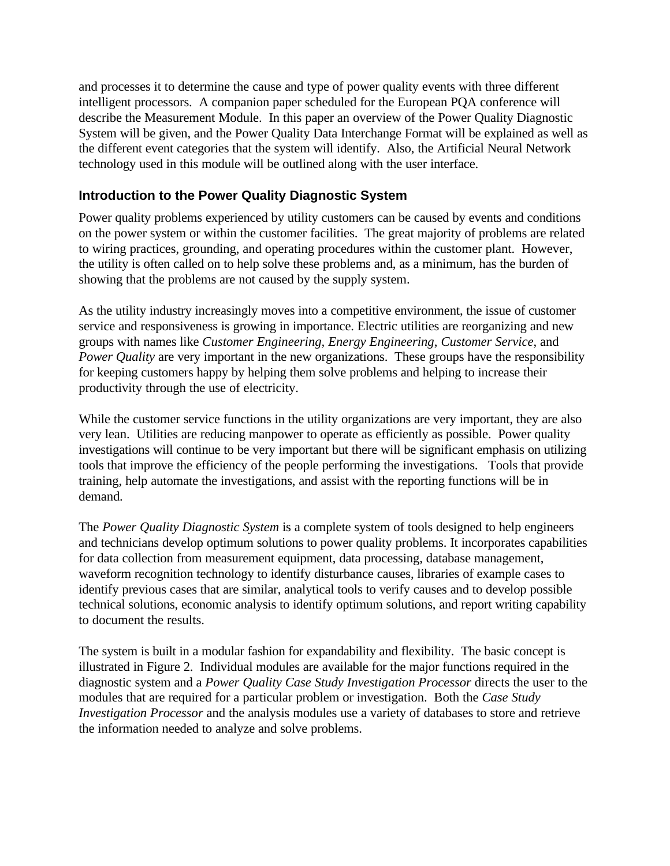and processes it to determine the cause and type of power quality events with three different intelligent processors. A companion paper scheduled for the European PQA conference will describe the Measurement Module. In this paper an overview of the Power Quality Diagnostic System will be given, and the Power Quality Data Interchange Format will be explained as well as the different event categories that the system will identify. Also, the Artificial Neural Network technology used in this module will be outlined along with the user interface.

### **Introduction to the Power Quality Diagnostic System**

Power quality problems experienced by utility customers can be caused by events and conditions on the power system or within the customer facilities. The great majority of problems are related to wiring practices, grounding, and operating procedures within the customer plant. However, the utility is often called on to help solve these problems and, as a minimum, has the burden of showing that the problems are not caused by the supply system.

As the utility industry increasingly moves into a competitive environment, the issue of customer service and responsiveness is growing in importance. Electric utilities are reorganizing and new groups with names like *Customer Engineering, Energy Engineering*, *Customer Service*, and *Power Quality* are very important in the new organizations. These groups have the responsibility for keeping customers happy by helping them solve problems and helping to increase their productivity through the use of electricity.

While the customer service functions in the utility organizations are very important, they are also very lean. Utilities are reducing manpower to operate as efficiently as possible. Power quality investigations will continue to be very important but there will be significant emphasis on utilizing tools that improve the efficiency of the people performing the investigations. Tools that provide training, help automate the investigations, and assist with the reporting functions will be in demand.

The *Power Quality Diagnostic System* is a complete system of tools designed to help engineers and technicians develop optimum solutions to power quality problems. It incorporates capabilities for data collection from measurement equipment, data processing, database management, waveform recognition technology to identify disturbance causes, libraries of example cases to identify previous cases that are similar, analytical tools to verify causes and to develop possible technical solutions, economic analysis to identify optimum solutions, and report writing capability to document the results.

The system is built in a modular fashion for expandability and flexibility. The basic concept is illustrated in Figure 2. Individual modules are available for the major functions required in the diagnostic system and a *Power Quality Case Study Investigation Processor* directs the user to the modules that are required for a particular problem or investigation. Both the *Case Study Investigation Processor* and the analysis modules use a variety of databases to store and retrieve the information needed to analyze and solve problems.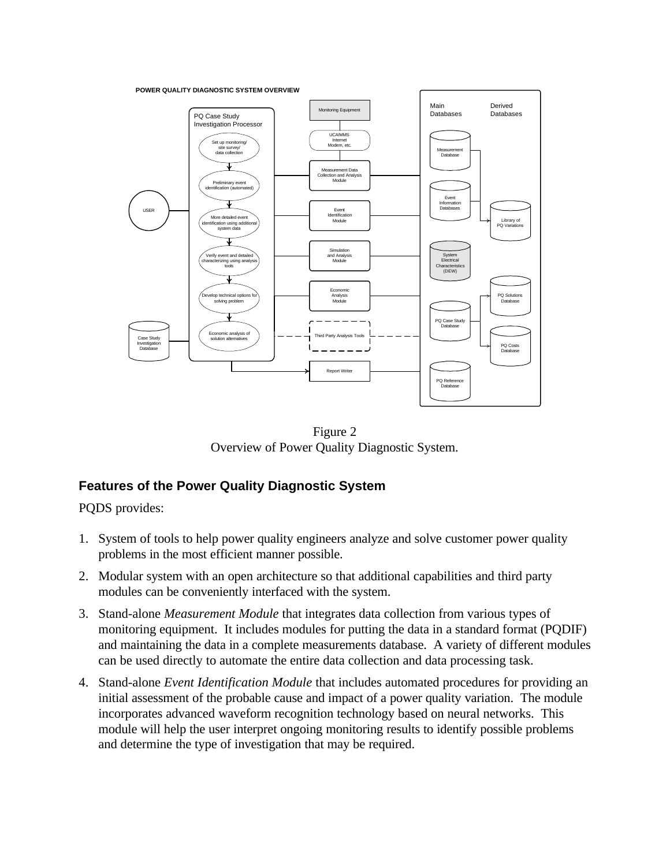**POWER QUALITY DIAGNOSTIC SYSTEM OVERVIEW**



Figure 2 Overview of Power Quality Diagnostic System.

# **Features of the Power Quality Diagnostic System**

PQDS provides:

- 1. System of tools to help power quality engineers analyze and solve customer power quality problems in the most efficient manner possible.
- 2. Modular system with an open architecture so that additional capabilities and third party modules can be conveniently interfaced with the system.
- 3. Stand-alone *Measurement Module* that integrates data collection from various types of monitoring equipment. It includes modules for putting the data in a standard format (PQDIF) and maintaining the data in a complete measurements database. A variety of different modules can be used directly to automate the entire data collection and data processing task.
- 4. Stand-alone *Event Identification Module* that includes automated procedures for providing an initial assessment of the probable cause and impact of a power quality variation. The module incorporates advanced waveform recognition technology based on neural networks. This module will help the user interpret ongoing monitoring results to identify possible problems and determine the type of investigation that may be required.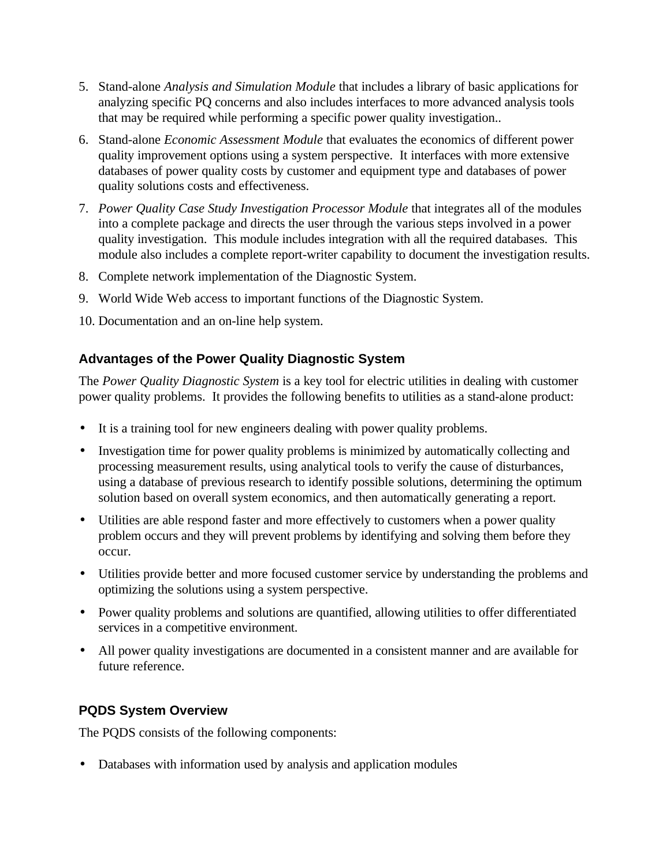- 5. Stand-alone *Analysis and Simulation Module* that includes a library of basic applications for analyzing specific PQ concerns and also includes interfaces to more advanced analysis tools that may be required while performing a specific power quality investigation..
- 6. Stand-alone *Economic Assessment Module* that evaluates the economics of different power quality improvement options using a system perspective. It interfaces with more extensive databases of power quality costs by customer and equipment type and databases of power quality solutions costs and effectiveness.
- 7. *Power Quality Case Study Investigation Processor Module* that integrates all of the modules into a complete package and directs the user through the various steps involved in a power quality investigation. This module includes integration with all the required databases. This module also includes a complete report-writer capability to document the investigation results.
- 8. Complete network implementation of the Diagnostic System.
- 9. World Wide Web access to important functions of the Diagnostic System.
- 10. Documentation and an on-line help system.

## **Advantages of the Power Quality Diagnostic System**

The *Power Quality Diagnostic System* is a key tool for electric utilities in dealing with customer power quality problems. It provides the following benefits to utilities as a stand-alone product:

- It is a training tool for new engineers dealing with power quality problems.
- Investigation time for power quality problems is minimized by automatically collecting and processing measurement results, using analytical tools to verify the cause of disturbances, using a database of previous research to identify possible solutions, determining the optimum solution based on overall system economics, and then automatically generating a report.
- Utilities are able respond faster and more effectively to customers when a power quality problem occurs and they will prevent problems by identifying and solving them before they occur.
- Utilities provide better and more focused customer service by understanding the problems and optimizing the solutions using a system perspective.
- Power quality problems and solutions are quantified, allowing utilities to offer differentiated services in a competitive environment.
- All power quality investigations are documented in a consistent manner and are available for future reference.

# **PQDS System Overview**

The PQDS consists of the following components:

• Databases with information used by analysis and application modules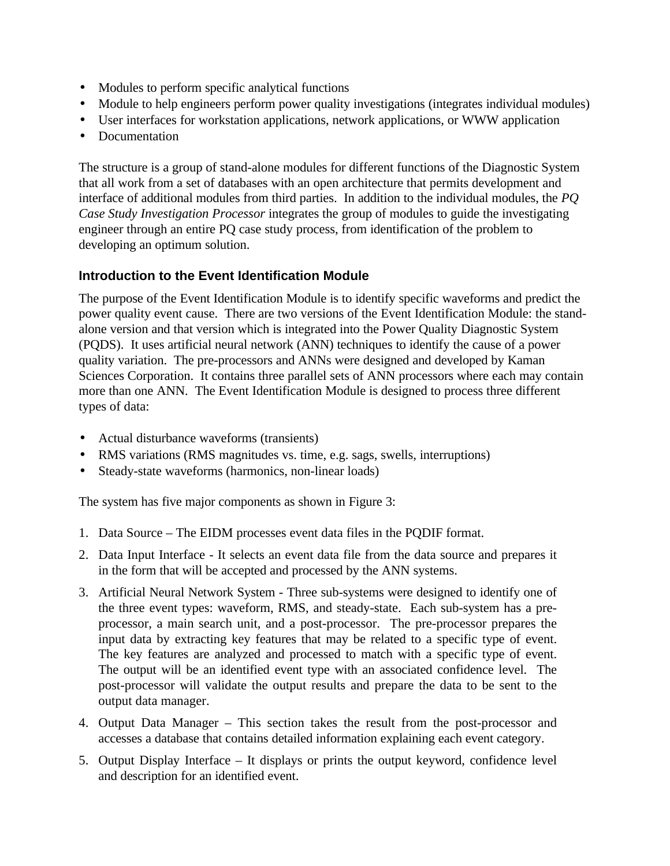- Modules to perform specific analytical functions
- Module to help engineers perform power quality investigations (integrates individual modules)
- User interfaces for workstation applications, network applications, or WWW application
- Documentation

The structure is a group of stand-alone modules for different functions of the Diagnostic System that all work from a set of databases with an open architecture that permits development and interface of additional modules from third parties. In addition to the individual modules, the *PQ Case Study Investigation Processor* integrates the group of modules to guide the investigating engineer through an entire PQ case study process, from identification of the problem to developing an optimum solution.

### **Introduction to the Event Identification Module**

The purpose of the Event Identification Module is to identify specific waveforms and predict the power quality event cause. There are two versions of the Event Identification Module: the standalone version and that version which is integrated into the Power Quality Diagnostic System (PQDS). It uses artificial neural network (ANN) techniques to identify the cause of a power quality variation. The pre-processors and ANNs were designed and developed by Kaman Sciences Corporation. It contains three parallel sets of ANN processors where each may contain more than one ANN. The Event Identification Module is designed to process three different types of data:

- Actual disturbance waveforms (transients)
- RMS variations (RMS magnitudes vs. time, e.g. sags, swells, interruptions)
- Steady-state waveforms (harmonics, non-linear loads)

The system has five major components as shown in Figure 3:

- 1. Data Source The EIDM processes event data files in the PQDIF format.
- 2. Data Input Interface It selects an event data file from the data source and prepares it in the form that will be accepted and processed by the ANN systems.
- 3. Artificial Neural Network System Three sub-systems were designed to identify one of the three event types: waveform, RMS, and steady-state. Each sub-system has a preprocessor, a main search unit, and a post-processor. The pre-processor prepares the input data by extracting key features that may be related to a specific type of event. The key features are analyzed and processed to match with a specific type of event. The output will be an identified event type with an associated confidence level. The post-processor will validate the output results and prepare the data to be sent to the output data manager.
- 4. Output Data Manager This section takes the result from the post-processor and accesses a database that contains detailed information explaining each event category.
- 5. Output Display Interface It displays or prints the output keyword, confidence level and description for an identified event.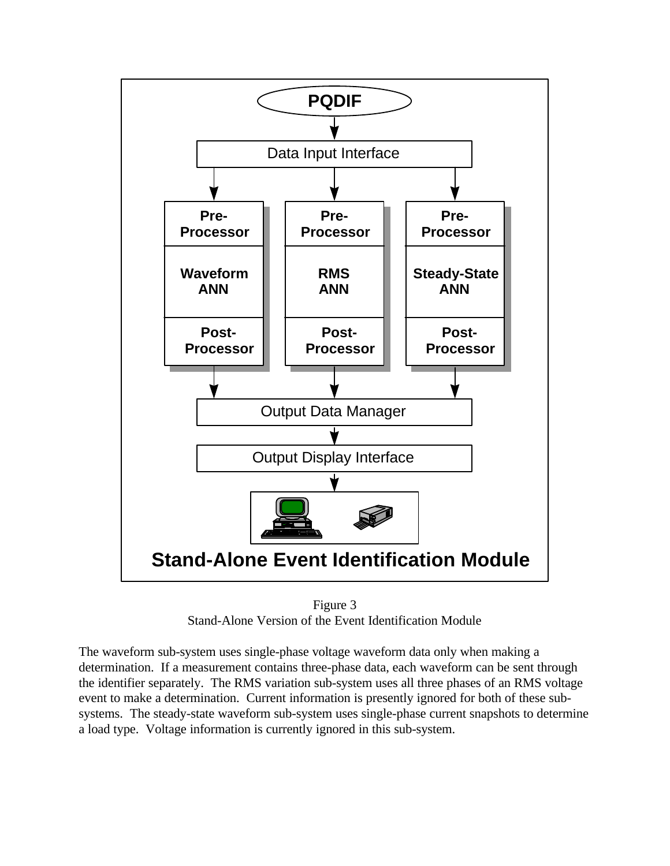

Figure 3 Stand-Alone Version of the Event Identification Module

The waveform sub-system uses single-phase voltage waveform data only when making a determination. If a measurement contains three-phase data, each waveform can be sent through the identifier separately. The RMS variation sub-system uses all three phases of an RMS voltage event to make a determination. Current information is presently ignored for both of these subsystems. The steady-state waveform sub-system uses single-phase current snapshots to determine a load type. Voltage information is currently ignored in this sub-system.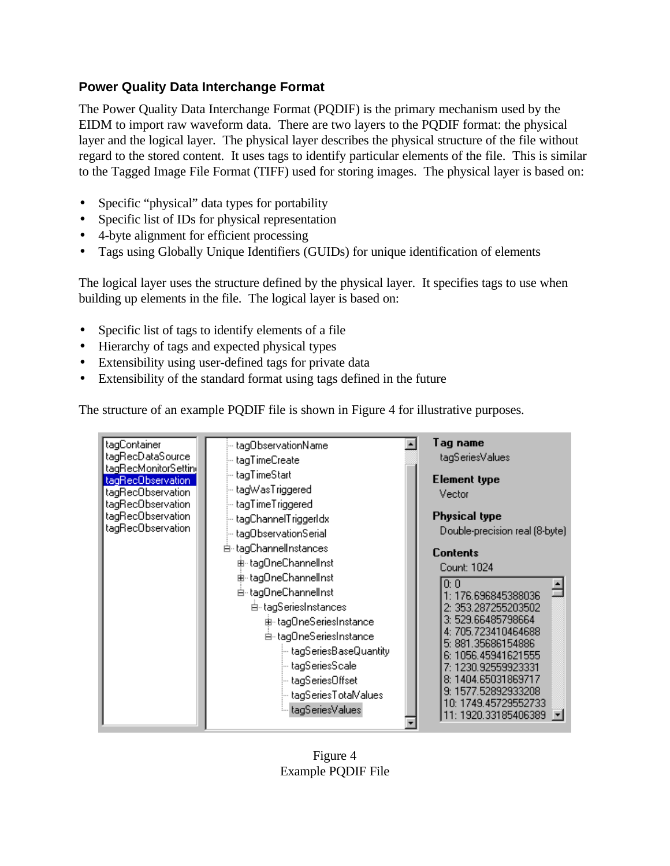## **Power Quality Data Interchange Format**

The Power Quality Data Interchange Format (PQDIF) is the primary mechanism used by the EIDM to import raw waveform data. There are two layers to the PQDIF format: the physical layer and the logical layer. The physical layer describes the physical structure of the file without regard to the stored content. It uses tags to identify particular elements of the file. This is similar to the Tagged Image File Format (TIFF) used for storing images. The physical layer is based on:

- Specific "physical" data types for portability
- Specific list of IDs for physical representation
- 4-byte alignment for efficient processing
- Tags using Globally Unique Identifiers (GUIDs) for unique identification of elements

The logical layer uses the structure defined by the physical layer. It specifies tags to use when building up elements in the file. The logical layer is based on:

- Specific list of tags to identify elements of a file
- Hierarchy of tags and expected physical types
- Extensibility using user-defined tags for private data
- Extensibility of the standard format using tags defined in the future

The structure of an example PQDIF file is shown in Figure 4 for illustrative purposes.

| tagContainer<br>tagRecDataSource<br>tagRecMonitorSettin(<br>tagRecObservation<br>tagRecObservation<br>tagRecObservation<br>tagRecObservation<br>tagRecObservation | htag0bservationName.htm<br>tagTimeCreate<br>… tagTimeStart.<br>⊸ tagWasTriggered<br>tagTimeTriggered<br>-- tagChannelTriggerIdx                                                                                                                                                                                           | Tag name<br>tagSeriesValues<br><b>Element type</b><br>Vector<br><b>Physical type</b><br>Double-precision real (8-byte)                                                                                                                                                                              |  |
|-------------------------------------------------------------------------------------------------------------------------------------------------------------------|---------------------------------------------------------------------------------------------------------------------------------------------------------------------------------------------------------------------------------------------------------------------------------------------------------------------------|-----------------------------------------------------------------------------------------------------------------------------------------------------------------------------------------------------------------------------------------------------------------------------------------------------|--|
|                                                                                                                                                                   | htag0bservationSerial<br>白 tagChannelInstances<br>Ė⊪tag0neChannellnst<br>由- tag0neChannelInst<br>Ė-tag0neChannellnst<br>白 tagSeriesInstances<br>由 tag0neSeriesInstance<br>白- tag0neSeriesInstance<br>n tagSeriesBaseQuantity }}<br>∣– tagSeriesScale.<br>∣– tagSeriesOffset<br>⊱ tagSeriesTotalValues<br>htagSeriesValues | <b>Contents</b><br>Count: 1024<br>0: 0<br>1: 176.696845388036<br>2: 353.287255203502<br>3: 529.66485798664<br>4: 705.723410464688<br>5: 881.35686154886<br>6: 1056.45941621555<br>7: 1230.92559923331<br>8: 1404.65031869717<br>9: 1577.52892933208<br>10: 1749.45729552733<br>11: 1920.33185406389 |  |

Figure 4 Example PQDIF File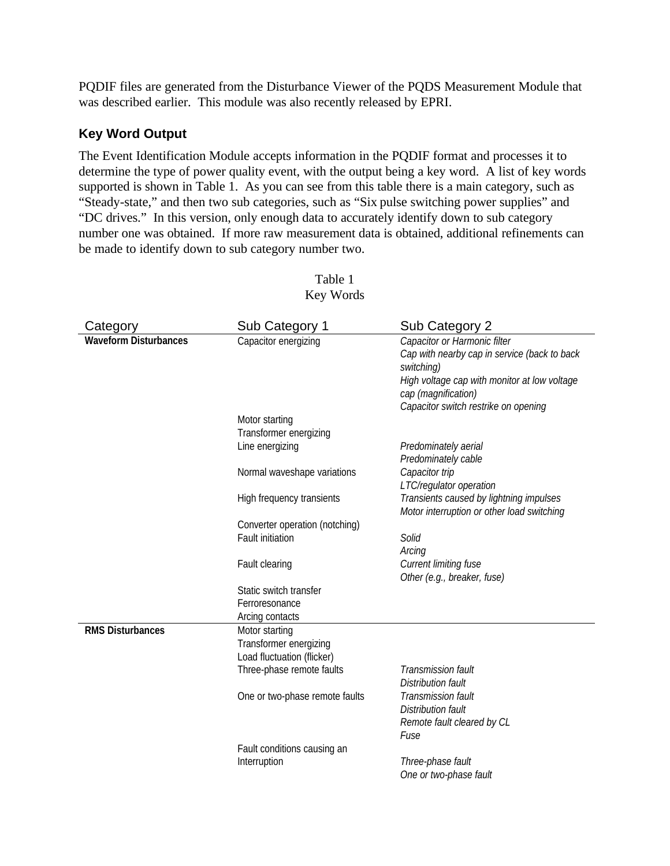PQDIF files are generated from the Disturbance Viewer of the PQDS Measurement Module that was described earlier. This module was also recently released by EPRI.

### **Key Word Output**

The Event Identification Module accepts information in the PQDIF format and processes it to determine the type of power quality event, with the output being a key word. A list of key words supported is shown in Table 1. As you can see from this table there is a main category, such as "Steady-state," and then two sub categories, such as "Six pulse switching power supplies" and "DC drives." In this version, only enough data to accurately identify down to sub category number one was obtained. If more raw measurement data is obtained, additional refinements can be made to identify down to sub category number two.

| Category                     | Sub Category 1                 | Sub Category 2                               |
|------------------------------|--------------------------------|----------------------------------------------|
| <b>Waveform Disturbances</b> | Capacitor energizing           | Capacitor or Harmonic filter                 |
|                              |                                | Cap with nearby cap in service (back to back |
|                              |                                | switching)                                   |
|                              |                                | High voltage cap with monitor at low voltage |
|                              |                                | cap (magnification)                          |
|                              |                                | Capacitor switch restrike on opening         |
|                              | Motor starting                 |                                              |
|                              | Transformer energizing         |                                              |
|                              | Line energizing                | Predominately aerial                         |
|                              |                                | Predominately cable                          |
|                              | Normal waveshape variations    | Capacitor trip                               |
|                              |                                | LTC/regulator operation                      |
|                              | High frequency transients      | Transients caused by lightning impulses      |
|                              |                                | Motor interruption or other load switching   |
|                              | Converter operation (notching) |                                              |
|                              | <b>Fault initiation</b>        | Solid                                        |
|                              |                                | Arcing                                       |
|                              | Fault clearing                 | Current limiting fuse                        |
|                              |                                | Other (e.g., breaker, fuse)                  |
|                              | Static switch transfer         |                                              |
|                              | Ferroresonance                 |                                              |
|                              | Arcing contacts                |                                              |
| <b>RMS Disturbances</b>      | Motor starting                 |                                              |
|                              | Transformer energizing         |                                              |
|                              | Load fluctuation (flicker)     |                                              |
|                              | Three-phase remote faults      | <b>Transmission fault</b>                    |
|                              |                                | Distribution fault                           |
|                              | One or two-phase remote faults | Transmission fault                           |
|                              |                                | Distribution fault                           |
|                              |                                | Remote fault cleared by CL                   |
|                              |                                | Fuse                                         |
|                              | Fault conditions causing an    |                                              |
|                              | Interruption                   | Three-phase fault                            |
|                              |                                | One or two-phase fault                       |

#### Table 1 Key Words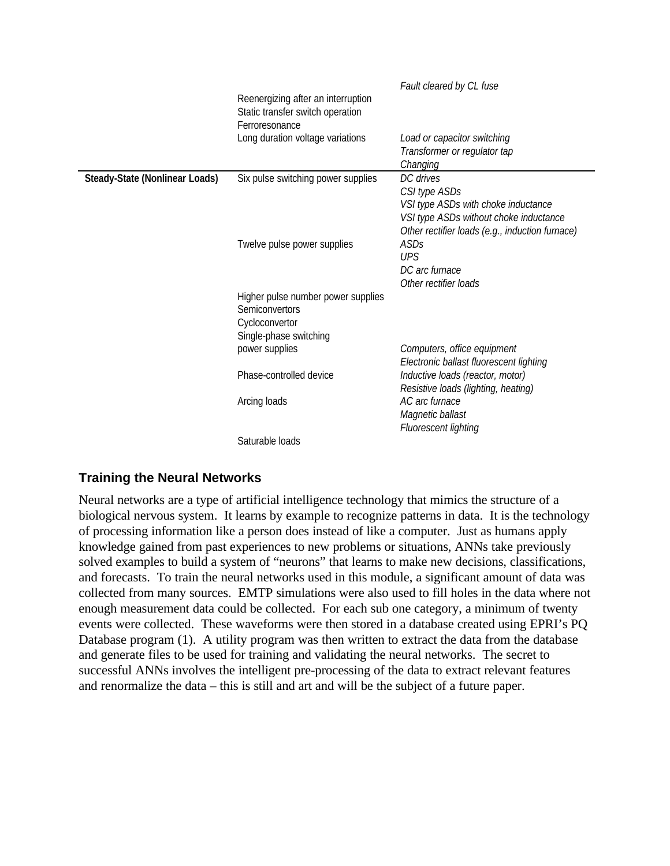|                                       |                                                                                                  | Fault cleared by CL fuse                                                                                                                                       |
|---------------------------------------|--------------------------------------------------------------------------------------------------|----------------------------------------------------------------------------------------------------------------------------------------------------------------|
|                                       | Reenergizing after an interruption<br>Static transfer switch operation<br>Ferroresonance         |                                                                                                                                                                |
|                                       | Long duration voltage variations                                                                 | Load or capacitor switching<br>Transformer or regulator tap<br>Changing                                                                                        |
| <b>Steady-State (Nonlinear Loads)</b> | Six pulse switching power supplies                                                               | DC drives<br>CSI type ASDs<br>VSI type ASDs with choke inductance<br>VSI type ASDs without choke inductance<br>Other rectifier loads (e.g., induction furnace) |
|                                       | Twelve pulse power supplies                                                                      | ASDs<br><b>UPS</b><br>DC arc furnace<br>Other rectifier loads                                                                                                  |
|                                       | Higher pulse number power supplies<br>Semiconvertors<br>Cycloconvertor<br>Single-phase switching |                                                                                                                                                                |
|                                       | power supplies                                                                                   | Computers, office equipment<br>Electronic ballast fluorescent lighting                                                                                         |
|                                       | Phase-controlled device                                                                          | Inductive loads (reactor, motor)<br>Resistive loads (lighting, heating)                                                                                        |
|                                       | Arcing loads                                                                                     | AC arc furnace<br>Magnetic ballast<br>Fluorescent lighting                                                                                                     |
|                                       | Saturable loads                                                                                  |                                                                                                                                                                |

## **Training the Neural Networks**

Neural networks are a type of artificial intelligence technology that mimics the structure of a biological nervous system. It learns by example to recognize patterns in data. It is the technology of processing information like a person does instead of like a computer. Just as humans apply knowledge gained from past experiences to new problems or situations, ANNs take previously solved examples to build a system of "neurons" that learns to make new decisions, classifications, and forecasts. To train the neural networks used in this module, a significant amount of data was collected from many sources. EMTP simulations were also used to fill holes in the data where not enough measurement data could be collected. For each sub one category, a minimum of twenty events were collected. These waveforms were then stored in a database created using EPRI's PQ Database program (1). A utility program was then written to extract the data from the database and generate files to be used for training and validating the neural networks. The secret to successful ANNs involves the intelligent pre-processing of the data to extract relevant features and renormalize the data – this is still and art and will be the subject of a future paper.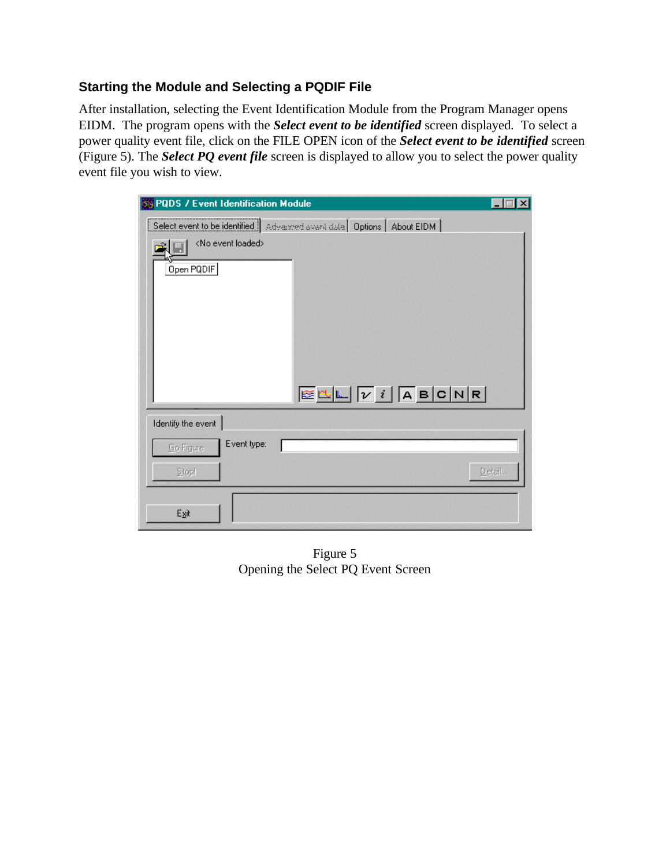## **Starting the Module and Selecting a PQDIF File**

After installation, selecting the Event Identification Module from the Program Manager opens EIDM. The program opens with the *Select event to be identified* screen displayed. To select a power quality event file, click on the FILE OPEN icon of the *Select event to be identified* screen (Figure 5). The *Select PQ event file* screen is displayed to allow you to select the power quality event file you wish to view.

| <b>PQDS / Event Identification Module</b><br>БN                            | $\times$ |
|----------------------------------------------------------------------------|----------|
| Select event to be identified   Advanced event data   Options   About EIDM |          |
| <no event="" loaded=""></no>                                               |          |
| Open PQDIF                                                                 |          |
|                                                                            |          |
|                                                                            |          |
|                                                                            |          |
|                                                                            |          |
|                                                                            |          |
| $E$                                                                        |          |
|                                                                            |          |
| Identify the event                                                         |          |
| Event type:<br>Go Figure                                                   |          |
| Stopl                                                                      | Detail   |
|                                                                            |          |
| Exit                                                                       |          |
|                                                                            |          |

Figure 5 Opening the Select PQ Event Screen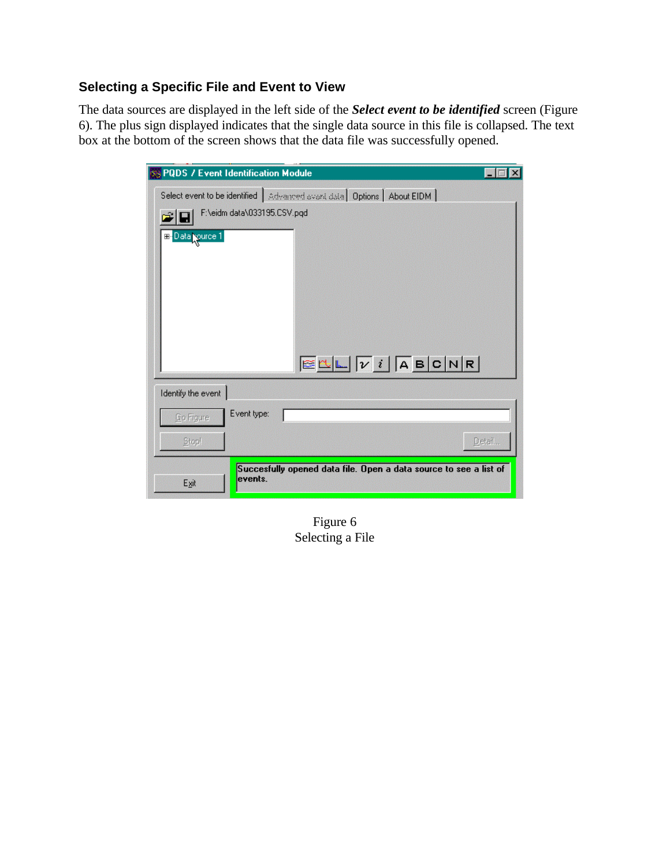## **Selecting a Specific File and Event to View**

The data sources are displayed in the left side of the *Select event to be identified* screen (Figure 6). The plus sign displayed indicates that the single data source in this file is collapsed. The text box at the bottom of the screen shows that the data file was successfully opened.

| <b>SS PQDS / Event Identification Module</b>                                 | $\times$ |
|------------------------------------------------------------------------------|----------|
| Select event to be identified   Advanced event data   Options   About EIDM   |          |
| F:\eidm data\033195.CSV.pqd                                                  |          |
| <b>E</b> Data purce 1                                                        |          |
|                                                                              |          |
|                                                                              |          |
|                                                                              |          |
|                                                                              |          |
|                                                                              |          |
|                                                                              |          |
| $E \cup L$                                                                   |          |
| Identify the event                                                           |          |
| Event type:<br>Go Figure                                                     |          |
|                                                                              |          |
| Stopl                                                                        | Detail   |
| Succesfully opened data file. Open a data source to see a list of<br>events. |          |
| Exit                                                                         |          |

Figure 6 Selecting a File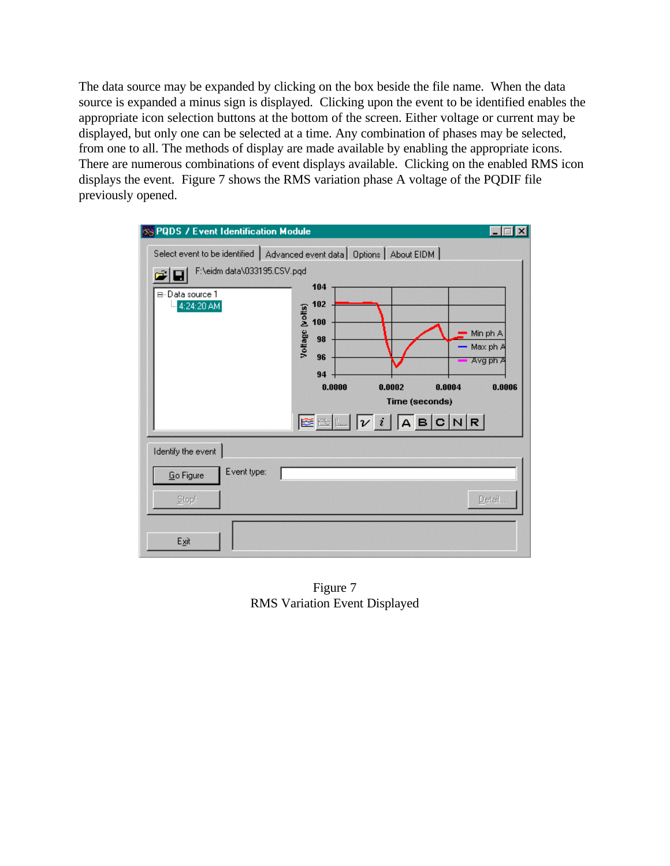The data source may be expanded by clicking on the box beside the file name. When the data source is expanded a minus sign is displayed. Clicking upon the event to be identified enables the appropriate icon selection buttons at the bottom of the screen. Either voltage or current may be displayed, but only one can be selected at a time. Any combination of phases may be selected, from one to all. The methods of display are made available by enabling the appropriate icons. There are numerous combinations of event displays available. Clicking on the enabled RMS icon displays the event. Figure 7 shows the RMS variation phase A voltage of the PQDIF file previously opened.

| <b>PQDS / Event Identification Module</b>                    |                                                                                                                                                                                                                                                                                                                                                                     |
|--------------------------------------------------------------|---------------------------------------------------------------------------------------------------------------------------------------------------------------------------------------------------------------------------------------------------------------------------------------------------------------------------------------------------------------------|
| F:\eidm data\033195.CSV.pqd<br>⊟-Data source 1<br>4:24:20 AM | Select event to be identified   Advanced event data   Options   About EIDM  <br>104<br>102<br>Voltage (volts)<br>100<br>Min ph A<br>98<br>Max ph A<br>96<br>Avg ph A<br>94<br>0.0000<br>0.0002<br>0.0004<br>0.0006<br>Time (seconds)<br>$E_{\text{min}}$ $\boxed{\nu \ i}$ $\boxed{\mathsf{A}}$ $\mathsf{B}$ $\boxed{\mathsf{C}}$ $\boxed{\mathsf{N}}$ $\mathsf{R}$ |
| Identify the event<br>Event type:                            |                                                                                                                                                                                                                                                                                                                                                                     |
| Go Figure<br>Stopl                                           | Detail                                                                                                                                                                                                                                                                                                                                                              |
| Exit                                                         |                                                                                                                                                                                                                                                                                                                                                                     |

Figure 7 RMS Variation Event Displayed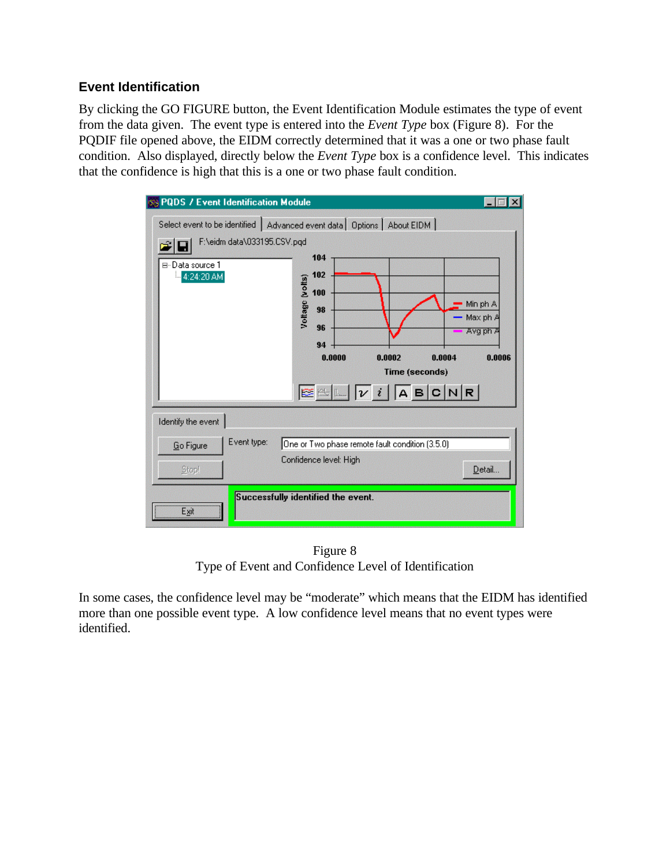### **Event Identification**

By clicking the GO FIGURE button, the Event Identification Module estimates the type of event from the data given. The event type is entered into the *Event Type* box (Figure 8). For the PQDIF file opened above, the EIDM correctly determined that it was a one or two phase fault condition. Also displayed, directly below the *Event Type* box is a confidence level. This indicates that the confidence is high that this is a one or two phase fault condition.

| <b>PQDS / Event Identification Module</b><br>F:\eidm data\033195.CSV.pqd<br>⊟-Data source 1<br><b>i</b> 4:24:20 AM | Select event to be identified   Advanced event data   Options   About EIDM  <br>104<br>102<br>Voltage (volts)<br>100<br>98<br>96<br>94<br>0.0000<br>0.0002<br>0.0004<br><b>Time (seconds)</b><br>$E \subseteq \mathbb{L} \left  \mathbb{L} \right  \left  \mathbb{V} \right  i \left  \mathbb{A} \mathsf{B} \right  \mathsf{C} \left  \mathsf{N} \right  \mathsf{R}$ | Min ph A<br>Max ph A<br>Avg ph A<br>0.0006 |
|--------------------------------------------------------------------------------------------------------------------|----------------------------------------------------------------------------------------------------------------------------------------------------------------------------------------------------------------------------------------------------------------------------------------------------------------------------------------------------------------------|--------------------------------------------|
| Identify the event                                                                                                 |                                                                                                                                                                                                                                                                                                                                                                      |                                            |
| Event type:<br>Go Figure                                                                                           | One or Two phase remote fault condition (3.5.0)                                                                                                                                                                                                                                                                                                                      |                                            |
| Stop!                                                                                                              | Confidence level: High                                                                                                                                                                                                                                                                                                                                               | Detail                                     |
| Exit                                                                                                               | Successfully identified the event.                                                                                                                                                                                                                                                                                                                                   |                                            |

Figure 8 Type of Event and Confidence Level of Identification

In some cases, the confidence level may be "moderate" which means that the EIDM has identified more than one possible event type. A low confidence level means that no event types were identified.